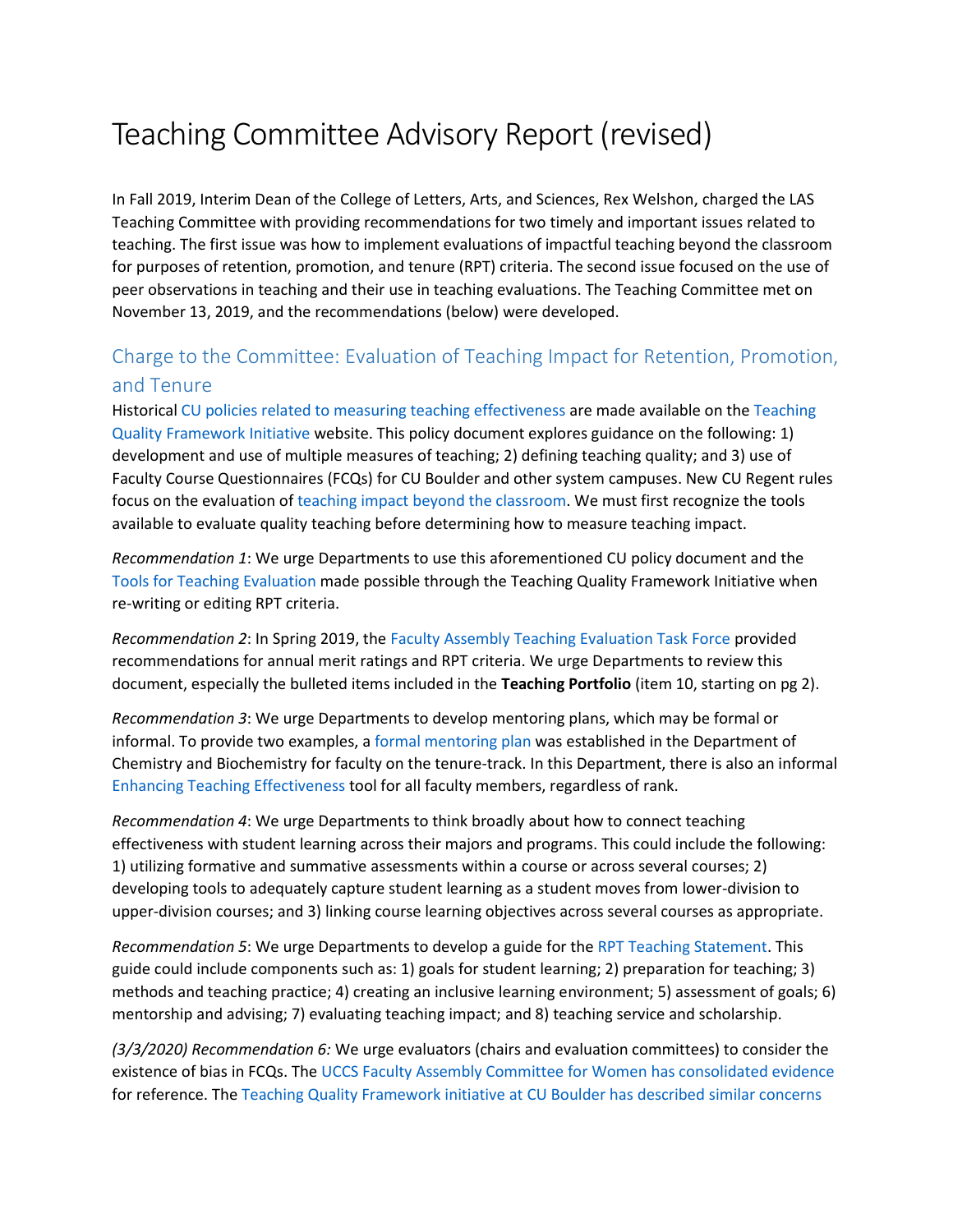## Teaching Committee Advisory Report (revised)

In Fall 2019, Interim Dean of the College of Letters, Arts, and Sciences, Rex Welshon, charged the LAS Teaching Committee with providing recommendations for two timely and important issues related to teaching. The first issue was how to implement evaluations of impactful teaching beyond the classroom for purposes of retention, promotion, and tenure (RPT) criteria. The second issue focused on the use of peer observations in teaching and their use in teaching evaluations. The Teaching Committee met on November 13, 2019, and the recommendations (below) were developed.

## Charge to the Committee: Evaluation of Teaching Impact for Retention, Promotion, and Tenure

Historica[l CU policies related to measuring teaching effectiveness](https://www.colorado.edu/teaching-quality-framework/sites/default/files/attached-files/cu_policies_related_to_measuring_teaching_effectiveness_draft_10-03-19.pdf) are made available on the [Teaching](https://www.colorado.edu/teaching-quality-framework/)  [Quality Framework Initiative](https://www.colorado.edu/teaching-quality-framework/) website. This policy document explores guidance on the following: 1) development and use of multiple measures of teaching; 2) defining teaching quality; and 3) use of Faculty Course Questionnaires (FCQs) for CU Boulder and other system campuses. New CU Regent rules focus on the evaluation of teaching impact [beyond the classroom.](https://www.colorado.edu/controller/2018/12/01/updates-regent-laws-and-policies) We must first recognize the tools available to evaluate quality teaching before determining how to measure teaching impact.

*Recommendation 1*: We urge Departments to use this aforementioned CU policy document and the [Tools for Teaching Evaluation](https://www.colorado.edu/teaching-quality-framework/tools-for-teaching-evaluation) made possible through the Teaching Quality Framework Initiative when re-writing or editing RPT criteria.

*Recommendation 2*: In Spring 2019, th[e Faculty Assembly Teaching Evaluation Task Force](https://www.uccs.edu/facassembly/sites/facassembly/files/inline-files/FA%20Teaching%20Evaluation%20Task%20Force%20Spring%202019%20Report.pdf) provided recommendations for annual merit ratings and RPT criteria. We urge Departments to review this document, especially the bulleted items included in the **Teaching Portfolio** (item 10, starting on pg 2).

*Recommendation 3*: We urge Departments to develop mentoring plans, which may be formal or informal. To provide two examples, [a formal mentoring plan](https://www.uccs.edu/chemistry/sites/chemistry/files/inline-files/TTF%20Mentorship%20Program%2005-02-2018.pdf) was established in the Department of Chemistry and Biochemistry for faculty on the tenure-track. In this Department, there is also an informal [Enhancing Teaching Effectiveness](https://www.uccs.edu/chemistry/sites/chemistry/files/inline-files/Teaching%20Effectiveness%20Program%2010-07-2019.pdf) tool for all faculty members, regardless of rank.

*Recommendation 4*: We urge Departments to think broadly about how to connect teaching effectiveness with student learning across their majors and programs. This could include the following: 1) utilizing formative and summative assessments within a course or across several courses; 2) developing tools to adequately capture student learning as a student moves from lower-division to upper-division courses; and 3) linking course learning objectives across several courses as appropriate.

*Recommendation 5*: We urge Departments to develop a guide for the [RPT Teaching Statement.](https://www.colorado.edu/teaching-quality-framework/sites/default/files/attached-files/teaching_statement_self-reflection_guide_mcen-draft.pdf) This guide could include components such as: 1) goals for student learning; 2) preparation for teaching; 3) methods and teaching practice; 4) creating an inclusive learning environment; 5) assessment of goals; 6) mentorship and advising; 7) evaluating teaching impact; and 8) teaching service and scholarship.

*(3/3/2020) Recommendation 6:* We urge evaluators (chairs and evaluation committees) to consider the existence of bias in FCQs. Th[e UCCS Faculty Assembly Committee for Women has consolidated evidence](https://www.uccs.edu/women/fcqs-bias-student-evaluation) for reference. The [Teaching Quality Framework initiative at CU Boulder has described similar concerns](https://www.colorado.edu/teaching-quality-framework/tools-for-teaching-evaluation#Student%20Evaluation)